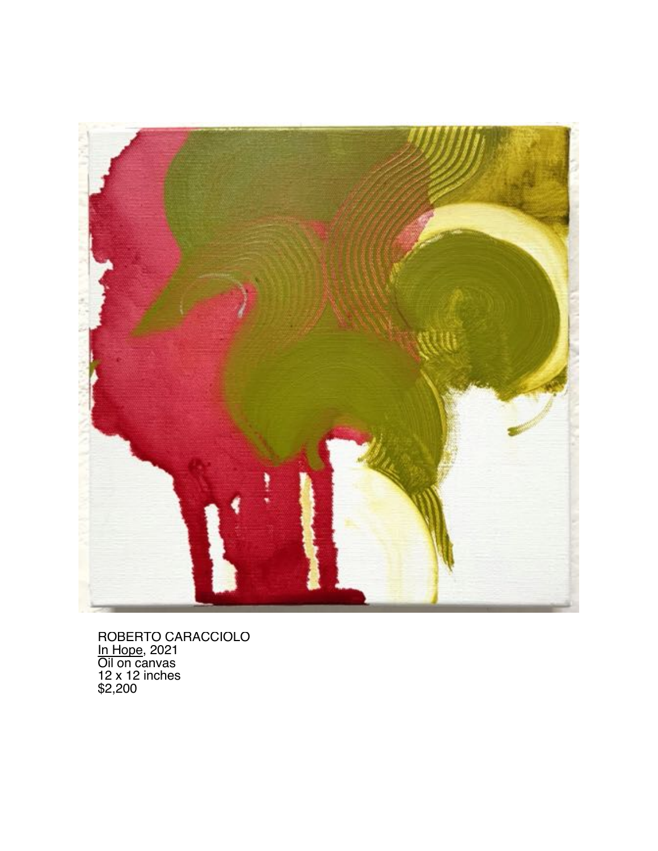

ROBERTO CARACCIOLO In Hope, 2021 Oil on canvas 12 x 12 inches \$2,200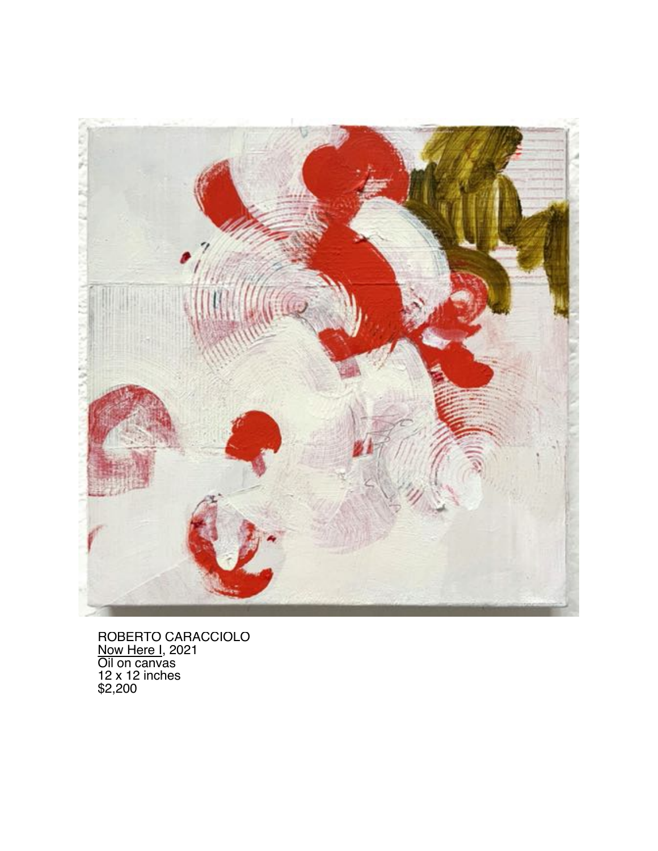

ROBERTO CARACCIOLO Now Here I, 2021 Oil on canvas 12 x 12 inches \$2,200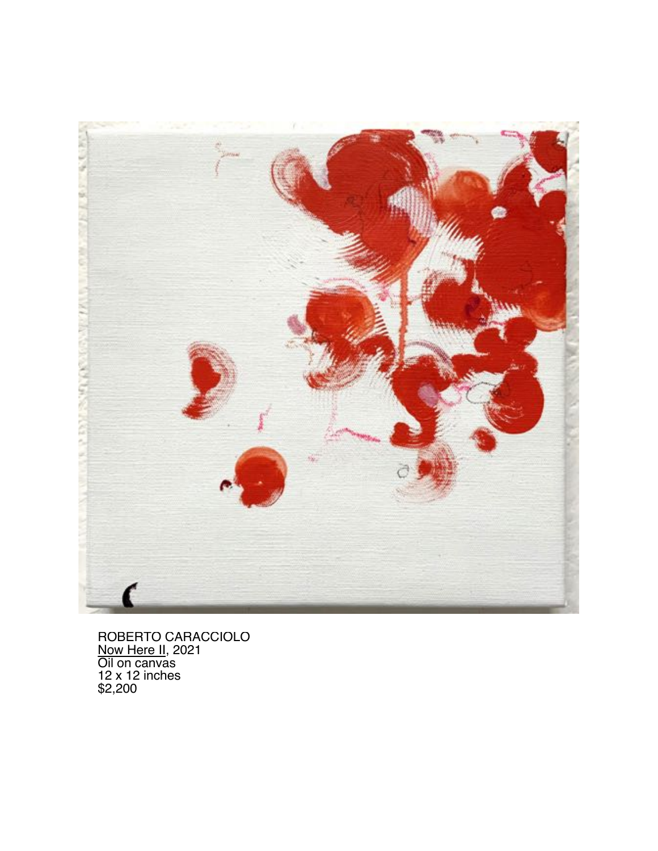

ROBERTO CARACCIOLO Now Here II, 2021 Oil on canvas 12 x 12 inches \$2,200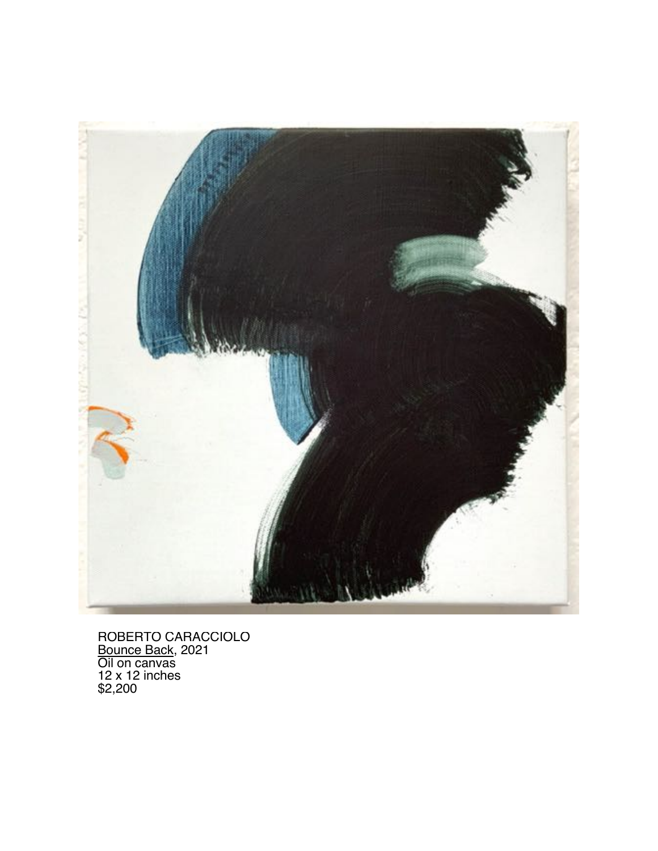

ROBERTO CARACCIOLO Bounce Back, 2021 Oil on canvas 12 x 12 inches \$2,200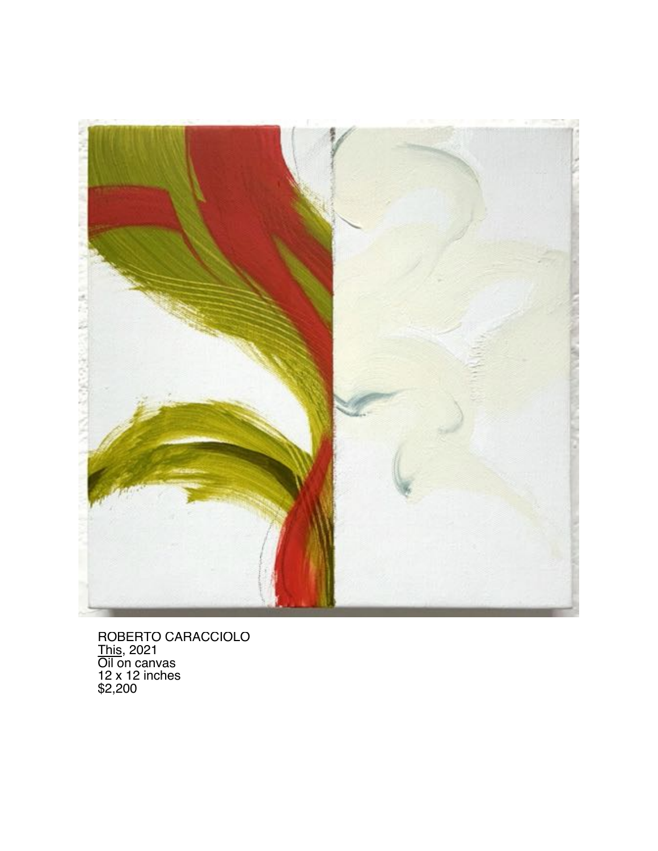

ROBERTO CARACCIOLO <u>This,</u> 2021 Oil on canvas 12 x 12 inches \$2,200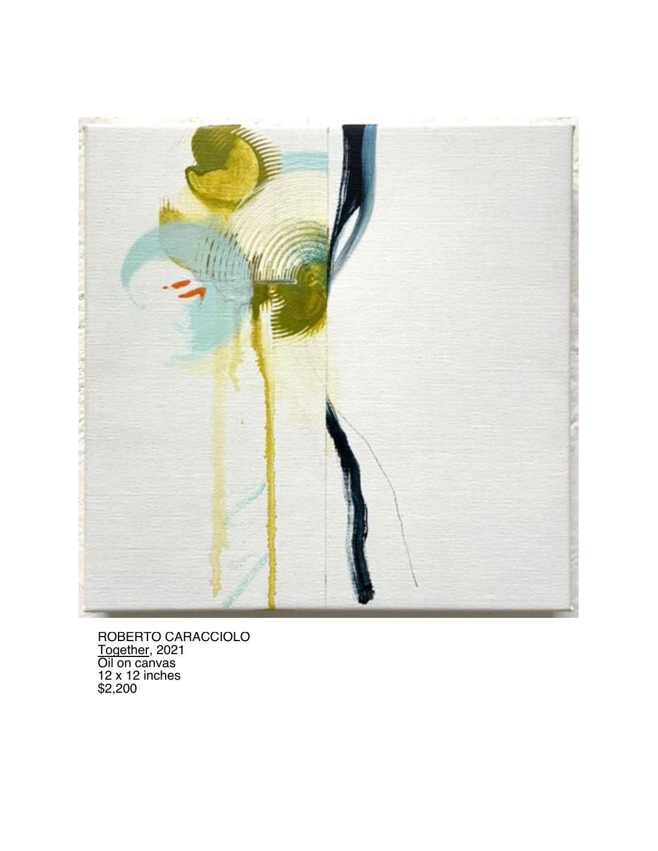

ROBERTO CARACCIOLO Together, 2021 Oil on canvas 12 x 12 inches \$2,200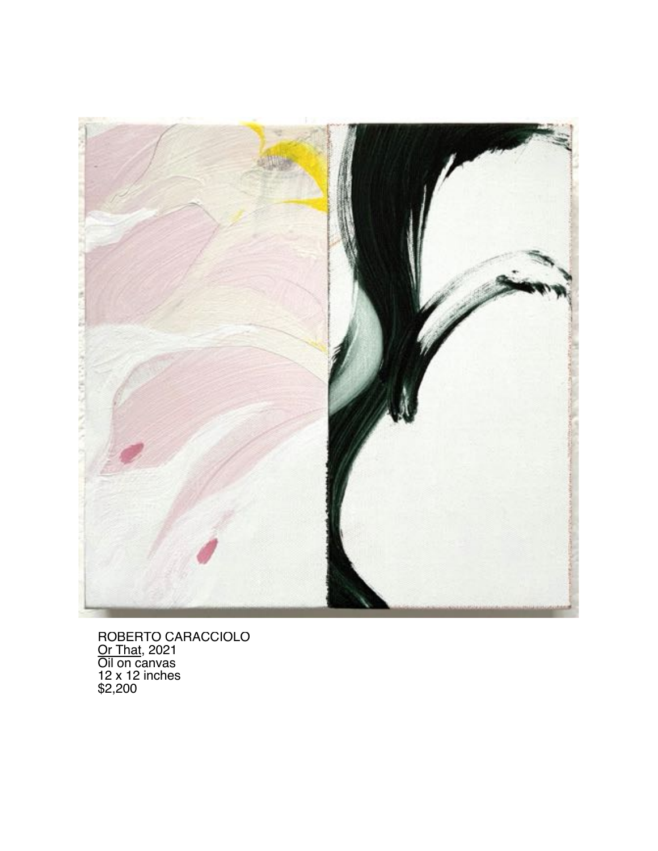

ROBERTO CARACCIOLO <u>Or That,</u> 2021 Oil on canvas 12 x 12 inches \$2,200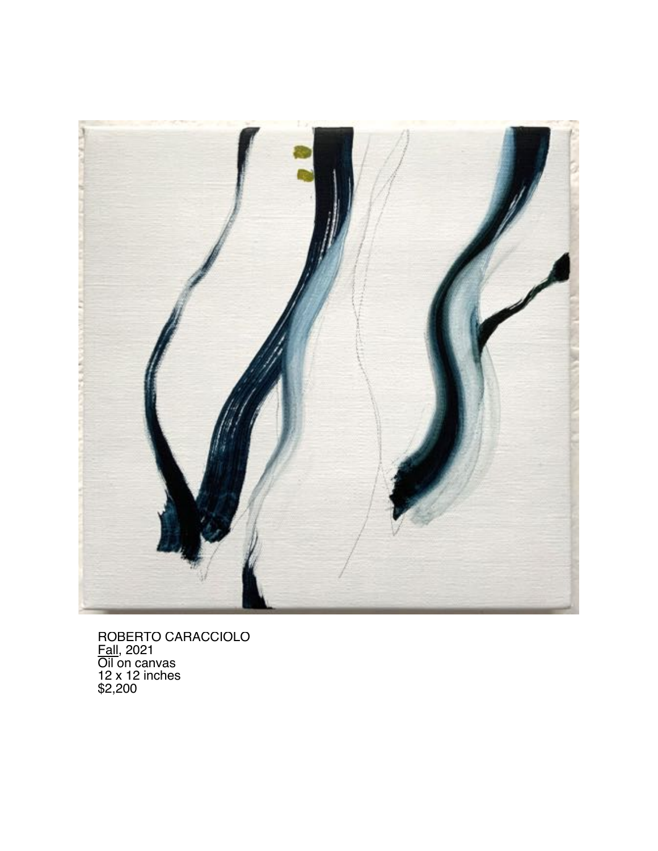

ROBERTO CARACCIOLO Fall, 2021 Oil on canvas 12 x 12 inches \$2,200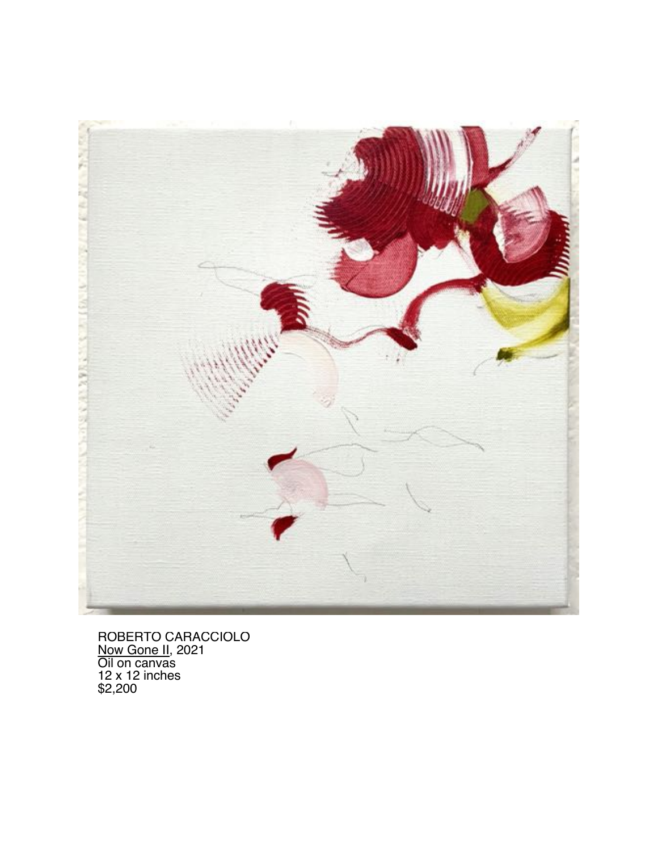

ROBERTO CARACCIOLO Now Gone II, 2021 Oil on canvas 12 x 12 inches \$2,200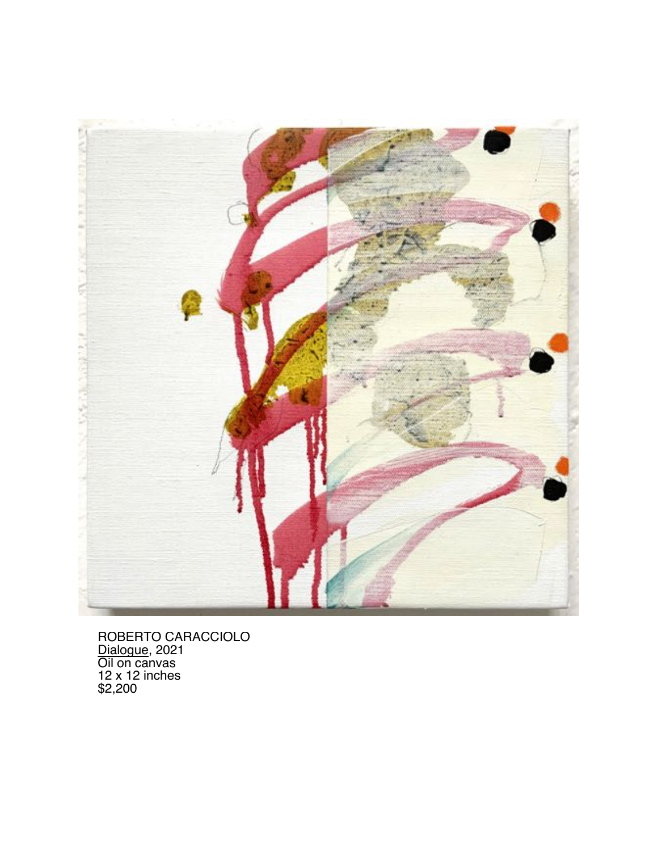

ROBERTO CARACCIOLO Dialogue, 2021 Oil on canvas 12 x 12 inches \$2,200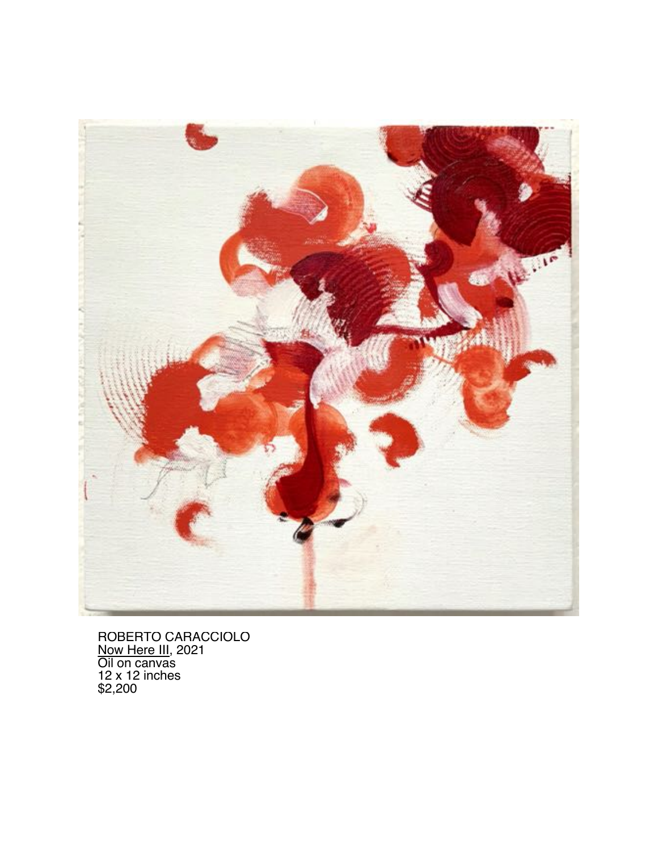

ROBERTO CARACCIOLO Now Here III, 2021 Oil on canvas 12 x 12 inches \$2,200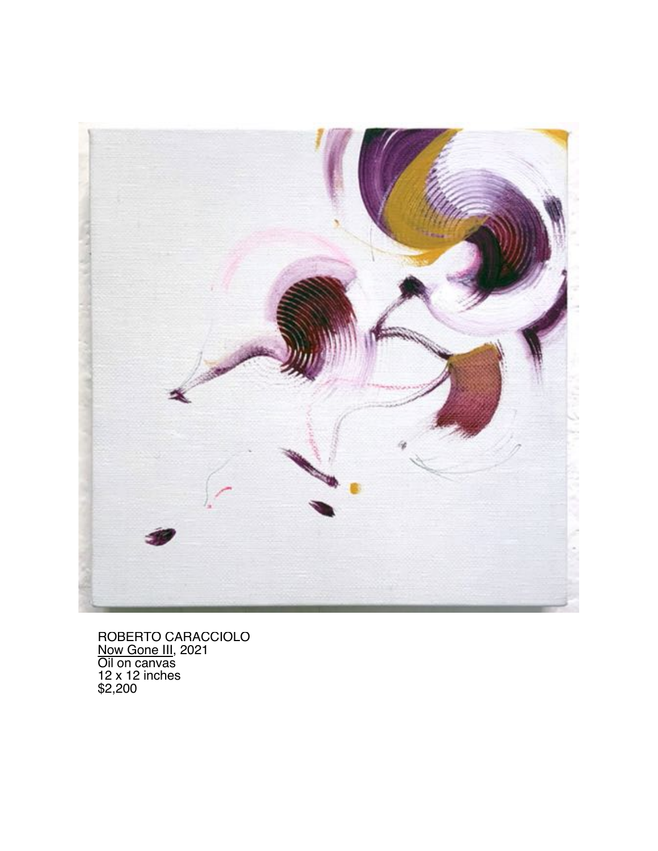

ROBERTO CARACCIOLO Now Gone III, 2021 Oil on canvas 12 x 12 inches \$2,200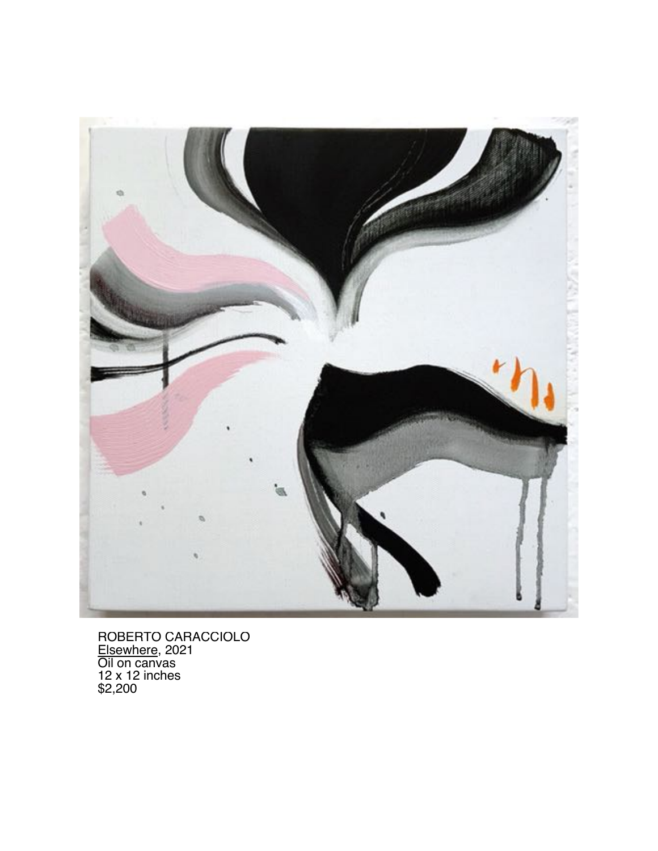

ROBERTO CARACCIOLO Elsewhere, 2021 Oil on canvas 12 x 12 inches \$2,200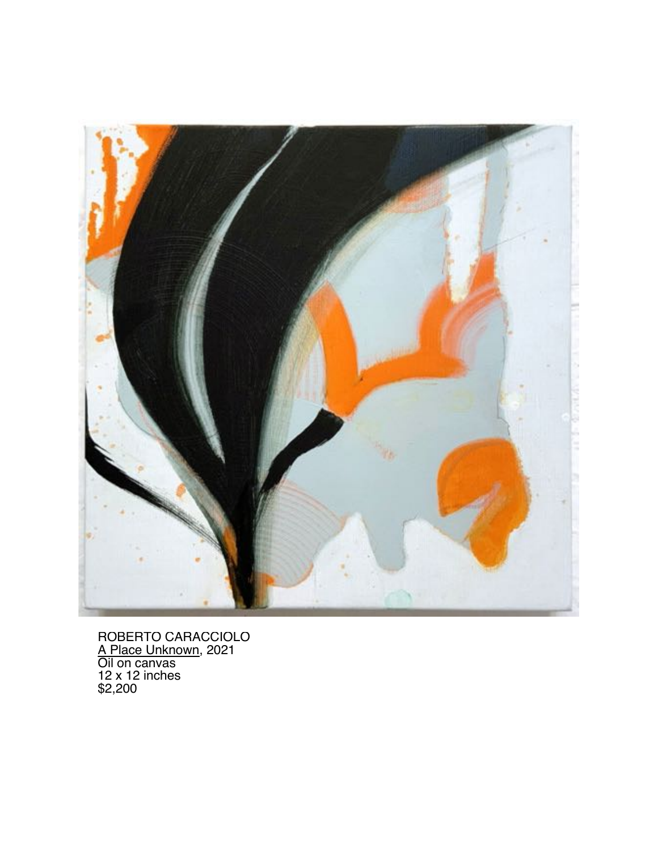

ROBERTO CARACCIOLO A Place Unknown, 2021 Oil on canvas 12 x 12 inches \$2,200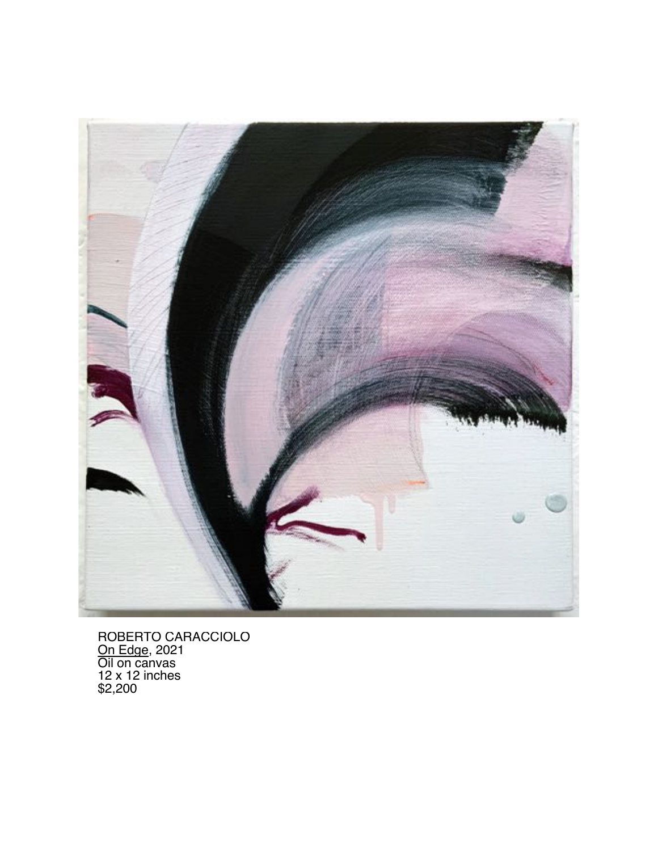

ROBERTO CARACCIOLO <u>On Edge,</u> 2021 Oil on canvas 12 x 12 inches \$2,200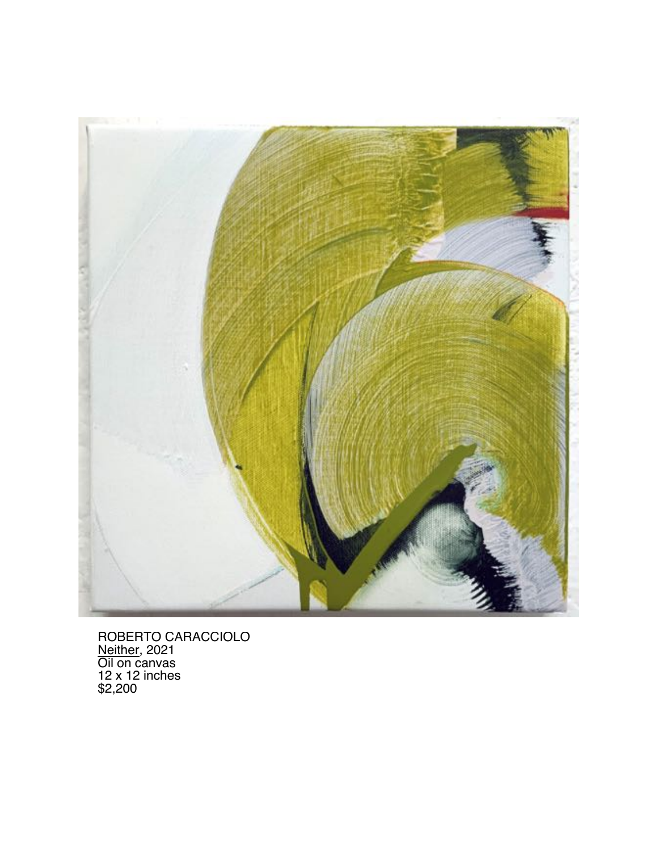

ROBERTO CARACCIOLO Neither, 2021 Oil on canvas 12 x 12 inches \$2,200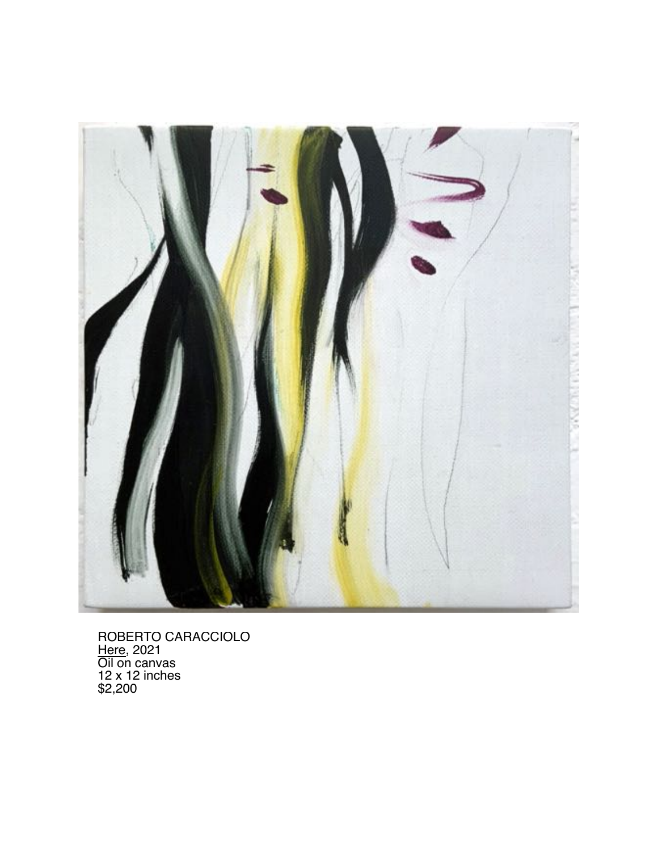

ROBERTO CARACCIOLO <u>Here,</u> 2021 Oil on canvas 12 x 12 inches \$2,200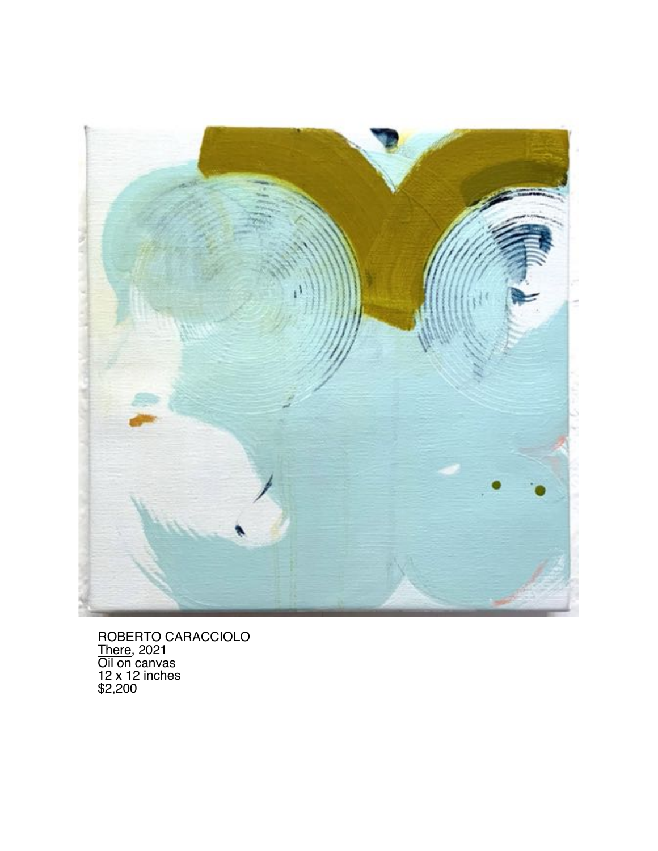

ROBERTO CARACCIOLO <u>There,</u> 2021 Oil on canvas 12 x 12 inches \$2,200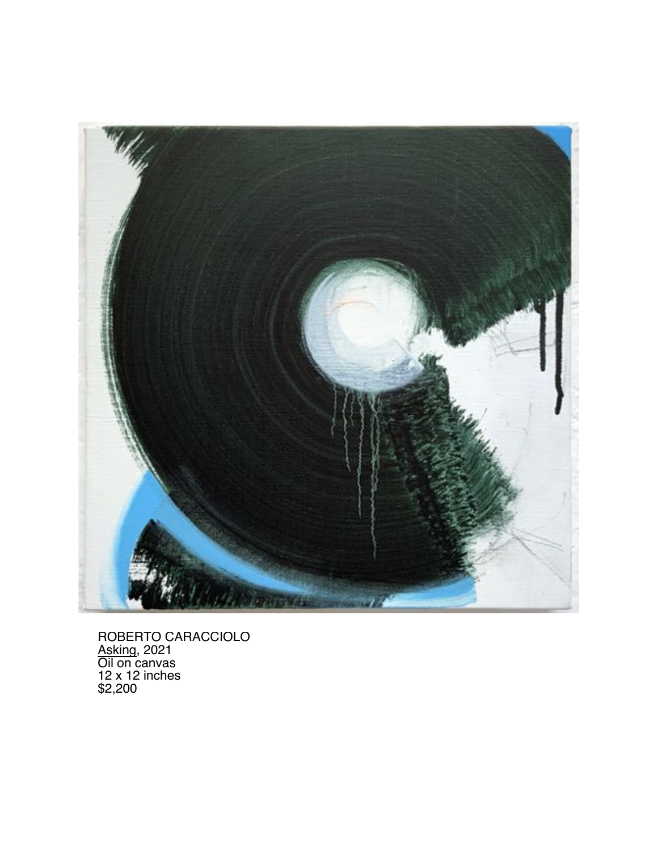

ROBERTO CARACCIOLO Asking, 2021 Oil on canvas 12 x 12 inches \$2,200